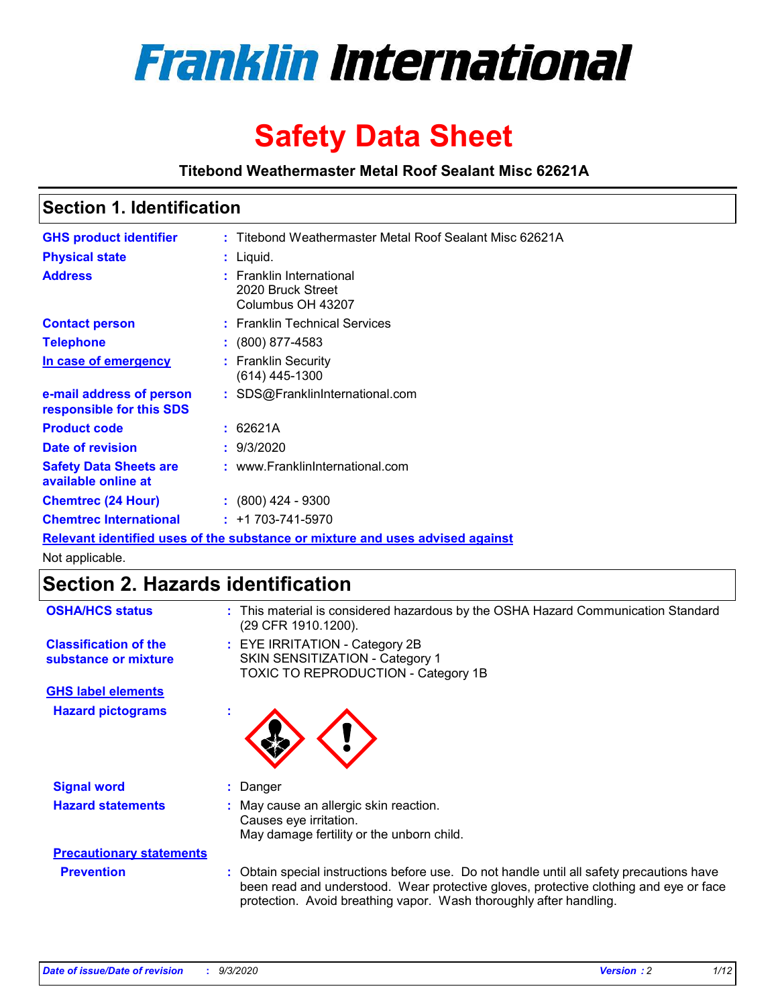

# **Safety Data Sheet**

**Titebond Weathermaster Metal Roof Sealant Misc 62621A**

### **Section 1. Identification**

| <b>GHS product identifier</b>                                                 |  | : Titebond Weathermaster Metal Roof Sealant Misc 62621A            |  |  |
|-------------------------------------------------------------------------------|--|--------------------------------------------------------------------|--|--|
| <b>Physical state</b>                                                         |  | : Liquid.                                                          |  |  |
| <b>Address</b>                                                                |  | : Franklin International<br>2020 Bruck Street<br>Columbus OH 43207 |  |  |
| <b>Contact person</b>                                                         |  | : Franklin Technical Services                                      |  |  |
| <b>Telephone</b>                                                              |  | : (800) 877-4583                                                   |  |  |
| In case of emergency                                                          |  | : Franklin Security<br>(614) 445-1300                              |  |  |
| e-mail address of person<br>responsible for this SDS                          |  | : SDS@FranklinInternational.com                                    |  |  |
| <b>Product code</b>                                                           |  | : 62621A                                                           |  |  |
| Date of revision                                                              |  | : 9/3/2020                                                         |  |  |
| <b>Safety Data Sheets are</b><br>available online at                          |  | : www.FranklinInternational.com                                    |  |  |
| <b>Chemtrec (24 Hour)</b>                                                     |  | $: (800)$ 424 - 9300                                               |  |  |
| <b>Chemtrec International</b>                                                 |  | $: +1703 - 741 - 5970$                                             |  |  |
| Relevant identified uses of the substance or mixture and uses advised against |  |                                                                    |  |  |

Not applicable.

## **Section 2. Hazards identification**

| <b>OSHA/HCS status</b>                               |    | : This material is considered hazardous by the OSHA Hazard Communication Standard<br>(29 CFR 1910.1200).                                                                                                                                                 |
|------------------------------------------------------|----|----------------------------------------------------------------------------------------------------------------------------------------------------------------------------------------------------------------------------------------------------------|
| <b>Classification of the</b><br>substance or mixture |    | : EYE IRRITATION - Category 2B<br>SKIN SENSITIZATION - Category 1<br>TOXIC TO REPRODUCTION - Category 1B                                                                                                                                                 |
| <b>GHS label elements</b>                            |    |                                                                                                                                                                                                                                                          |
| <b>Hazard pictograms</b>                             | ×. |                                                                                                                                                                                                                                                          |
| <b>Signal word</b>                                   | ÷. | Danger                                                                                                                                                                                                                                                   |
| <b>Hazard statements</b>                             |    | May cause an allergic skin reaction.<br>Causes eye irritation.<br>May damage fertility or the unborn child.                                                                                                                                              |
| <b>Precautionary statements</b>                      |    |                                                                                                                                                                                                                                                          |
| <b>Prevention</b>                                    |    | : Obtain special instructions before use. Do not handle until all safety precautions have<br>been read and understood. Wear protective gloves, protective clothing and eye or face<br>protection. Avoid breathing vapor. Wash thoroughly after handling. |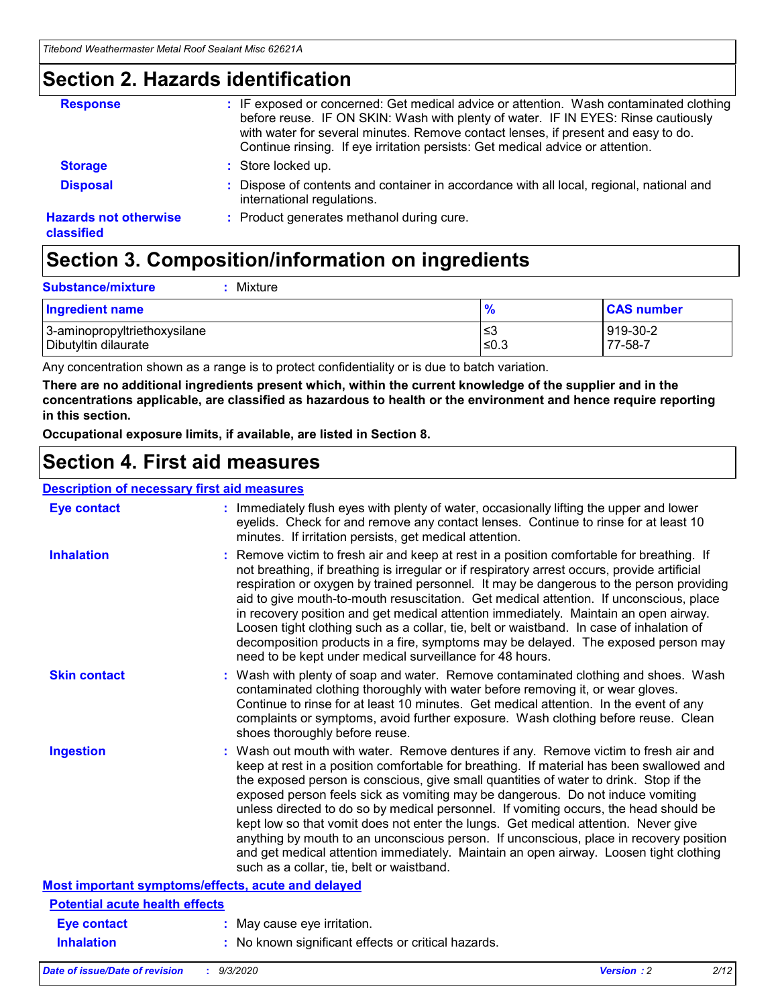### **Section 2. Hazards identification**

| <b>Response</b>                            | : IF exposed or concerned: Get medical advice or attention. Wash contaminated clothing<br>before reuse. IF ON SKIN: Wash with plenty of water. IF IN EYES: Rinse cautiously<br>with water for several minutes. Remove contact lenses, if present and easy to do.<br>Continue rinsing. If eye irritation persists: Get medical advice or attention. |
|--------------------------------------------|----------------------------------------------------------------------------------------------------------------------------------------------------------------------------------------------------------------------------------------------------------------------------------------------------------------------------------------------------|
| <b>Storage</b>                             | : Store locked up.                                                                                                                                                                                                                                                                                                                                 |
| <b>Disposal</b>                            | : Dispose of contents and container in accordance with all local, regional, national and<br>international regulations.                                                                                                                                                                                                                             |
| <b>Hazards not otherwise</b><br>classified | : Product generates methanol during cure.                                                                                                                                                                                                                                                                                                          |

## **Section 3. Composition/information on ingredients**

| <b>Substance/mixture</b> | Mixture |
|--------------------------|---------|
|                          |         |

| <b>Ingredient name</b>       | $\frac{9}{6}$ | <b>CAS number</b> |
|------------------------------|---------------|-------------------|
| 3-aminopropyltriethoxysilane | ≤3            | 919-30-2          |
| Dibutyltin dilaurate         | ∣≤0.3         | 77-58-7           |

Any concentration shown as a range is to protect confidentiality or is due to batch variation.

**There are no additional ingredients present which, within the current knowledge of the supplier and in the concentrations applicable, are classified as hazardous to health or the environment and hence require reporting in this section.**

**Occupational exposure limits, if available, are listed in Section 8.**

### **Section 4. First aid measures**

| <b>Description of necessary first aid measures</b> |                                                                                                                                                                                                                                                                                                                                                                                                                                                                                                                                                                                                                                                                                                                                                                           |
|----------------------------------------------------|---------------------------------------------------------------------------------------------------------------------------------------------------------------------------------------------------------------------------------------------------------------------------------------------------------------------------------------------------------------------------------------------------------------------------------------------------------------------------------------------------------------------------------------------------------------------------------------------------------------------------------------------------------------------------------------------------------------------------------------------------------------------------|
| <b>Eye contact</b>                                 | : Immediately flush eyes with plenty of water, occasionally lifting the upper and lower<br>eyelids. Check for and remove any contact lenses. Continue to rinse for at least 10<br>minutes. If irritation persists, get medical attention.                                                                                                                                                                                                                                                                                                                                                                                                                                                                                                                                 |
| <b>Inhalation</b>                                  | : Remove victim to fresh air and keep at rest in a position comfortable for breathing. If<br>not breathing, if breathing is irregular or if respiratory arrest occurs, provide artificial<br>respiration or oxygen by trained personnel. It may be dangerous to the person providing<br>aid to give mouth-to-mouth resuscitation. Get medical attention. If unconscious, place<br>in recovery position and get medical attention immediately. Maintain an open airway.<br>Loosen tight clothing such as a collar, tie, belt or waistband. In case of inhalation of<br>decomposition products in a fire, symptoms may be delayed. The exposed person may<br>need to be kept under medical surveillance for 48 hours.                                                       |
| <b>Skin contact</b>                                | : Wash with plenty of soap and water. Remove contaminated clothing and shoes. Wash<br>contaminated clothing thoroughly with water before removing it, or wear gloves.<br>Continue to rinse for at least 10 minutes. Get medical attention. In the event of any<br>complaints or symptoms, avoid further exposure. Wash clothing before reuse. Clean<br>shoes thoroughly before reuse.                                                                                                                                                                                                                                                                                                                                                                                     |
| <b>Ingestion</b>                                   | : Wash out mouth with water. Remove dentures if any. Remove victim to fresh air and<br>keep at rest in a position comfortable for breathing. If material has been swallowed and<br>the exposed person is conscious, give small quantities of water to drink. Stop if the<br>exposed person feels sick as vomiting may be dangerous. Do not induce vomiting<br>unless directed to do so by medical personnel. If vomiting occurs, the head should be<br>kept low so that vomit does not enter the lungs. Get medical attention. Never give<br>anything by mouth to an unconscious person. If unconscious, place in recovery position<br>and get medical attention immediately. Maintain an open airway. Loosen tight clothing<br>such as a collar, tie, belt or waistband. |
| Most important symptoms/effects, acute and delayed |                                                                                                                                                                                                                                                                                                                                                                                                                                                                                                                                                                                                                                                                                                                                                                           |
| <b>Potential acute health effects</b>              |                                                                                                                                                                                                                                                                                                                                                                                                                                                                                                                                                                                                                                                                                                                                                                           |
| <b>Eye contact</b>                                 | : May cause eye irritation.                                                                                                                                                                                                                                                                                                                                                                                                                                                                                                                                                                                                                                                                                                                                               |
| <b>Inhalation</b>                                  | : No known significant effects or critical hazards.                                                                                                                                                                                                                                                                                                                                                                                                                                                                                                                                                                                                                                                                                                                       |
|                                                    |                                                                                                                                                                                                                                                                                                                                                                                                                                                                                                                                                                                                                                                                                                                                                                           |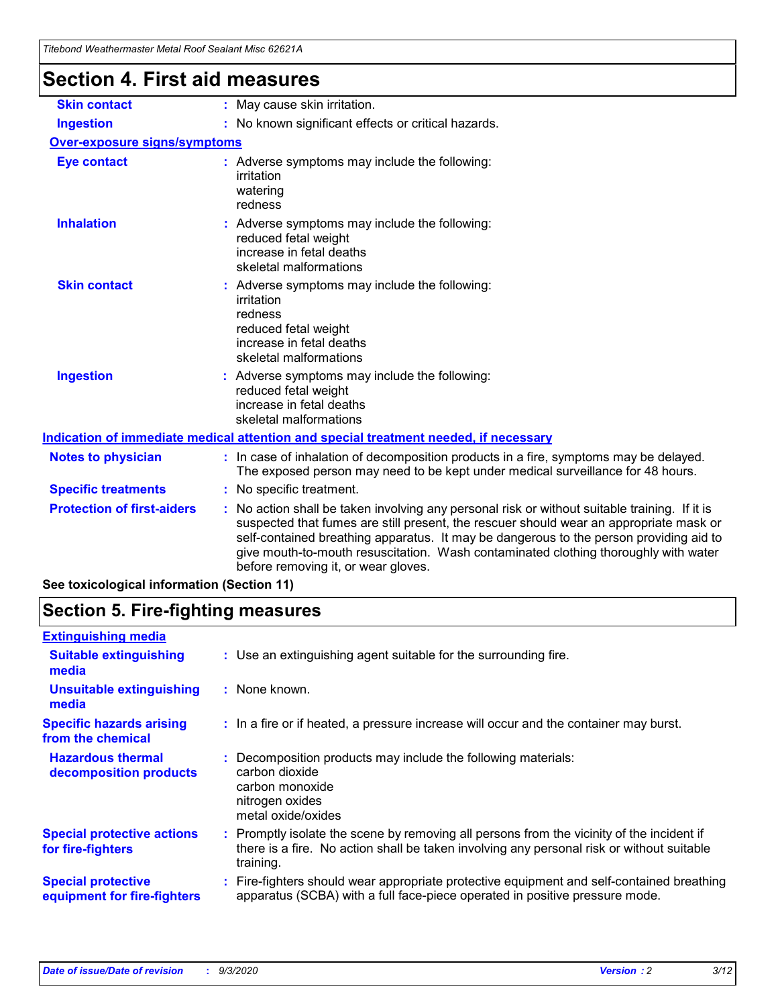| Thebolid Weathermaster Metal Roof Sealaht Misc 6262TA |                                                                                                                                                                                                                                                                                                                                                                                                                 |
|-------------------------------------------------------|-----------------------------------------------------------------------------------------------------------------------------------------------------------------------------------------------------------------------------------------------------------------------------------------------------------------------------------------------------------------------------------------------------------------|
| <b>Section 4. First aid measures</b>                  |                                                                                                                                                                                                                                                                                                                                                                                                                 |
| <b>Skin contact</b>                                   | : May cause skin irritation.                                                                                                                                                                                                                                                                                                                                                                                    |
| <b>Ingestion</b>                                      | : No known significant effects or critical hazards.                                                                                                                                                                                                                                                                                                                                                             |
| <b>Over-exposure signs/symptoms</b>                   |                                                                                                                                                                                                                                                                                                                                                                                                                 |
| <b>Eye contact</b>                                    | : Adverse symptoms may include the following:<br>irritation<br>watering<br>redness                                                                                                                                                                                                                                                                                                                              |
| <b>Inhalation</b>                                     | : Adverse symptoms may include the following:<br>reduced fetal weight<br>increase in fetal deaths<br>skeletal malformations                                                                                                                                                                                                                                                                                     |
| <b>Skin contact</b>                                   | : Adverse symptoms may include the following:<br>irritation<br>redness<br>reduced fetal weight<br>increase in fetal deaths<br>skeletal malformations                                                                                                                                                                                                                                                            |
| <b>Ingestion</b>                                      | : Adverse symptoms may include the following:<br>reduced fetal weight<br>increase in fetal deaths<br>skeletal malformations                                                                                                                                                                                                                                                                                     |
|                                                       | Indication of immediate medical attention and special treatment needed, if necessary                                                                                                                                                                                                                                                                                                                            |
| <b>Notes to physician</b>                             | : In case of inhalation of decomposition products in a fire, symptoms may be delayed.<br>The exposed person may need to be kept under medical surveillance for 48 hours.                                                                                                                                                                                                                                        |
| <b>Specific treatments</b>                            | : No specific treatment.                                                                                                                                                                                                                                                                                                                                                                                        |
| <b>Protection of first-aiders</b>                     | : No action shall be taken involving any personal risk or without suitable training. If it is<br>suspected that fumes are still present, the rescuer should wear an appropriate mask or<br>self-contained breathing apparatus. It may be dangerous to the person providing aid to<br>give mouth-to-mouth resuscitation. Wash contaminated clothing thoroughly with water<br>before removing it, or wear gloves. |

## **See toxicological information (Section 11)**

## **Section 5. Fire-fighting measures**

| <b>Extinguishing media</b>                               |                                                                                                                                                                                                     |
|----------------------------------------------------------|-----------------------------------------------------------------------------------------------------------------------------------------------------------------------------------------------------|
| <b>Suitable extinguishing</b><br>media                   | : Use an extinguishing agent suitable for the surrounding fire.                                                                                                                                     |
| <b>Unsuitable extinguishing</b><br>media                 | : None known.                                                                                                                                                                                       |
| <b>Specific hazards arising</b><br>from the chemical     | : In a fire or if heated, a pressure increase will occur and the container may burst.                                                                                                               |
| <b>Hazardous thermal</b><br>decomposition products       | Decomposition products may include the following materials:<br>carbon dioxide<br>carbon monoxide<br>nitrogen oxides<br>metal oxide/oxides                                                           |
| <b>Special protective actions</b><br>for fire-fighters   | : Promptly isolate the scene by removing all persons from the vicinity of the incident if<br>there is a fire. No action shall be taken involving any personal risk or without suitable<br>training. |
| <b>Special protective</b><br>equipment for fire-fighters | Fire-fighters should wear appropriate protective equipment and self-contained breathing<br>apparatus (SCBA) with a full face-piece operated in positive pressure mode.                              |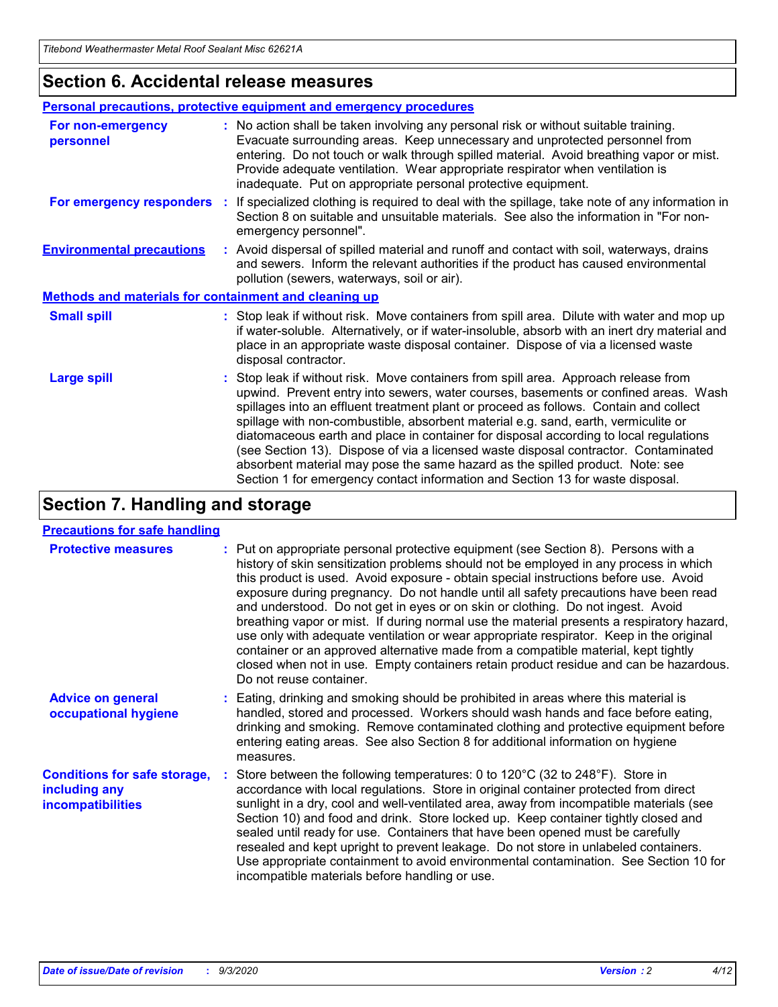### **Section 6. Accidental release measures**

|                                                              | <b>Personal precautions, protective equipment and emergency procedures</b>                                                                                                                                                                                                                                                                                                                                                                                                                                                                                                                                                                                                                                   |
|--------------------------------------------------------------|--------------------------------------------------------------------------------------------------------------------------------------------------------------------------------------------------------------------------------------------------------------------------------------------------------------------------------------------------------------------------------------------------------------------------------------------------------------------------------------------------------------------------------------------------------------------------------------------------------------------------------------------------------------------------------------------------------------|
| For non-emergency<br>personnel                               | : No action shall be taken involving any personal risk or without suitable training.<br>Evacuate surrounding areas. Keep unnecessary and unprotected personnel from<br>entering. Do not touch or walk through spilled material. Avoid breathing vapor or mist.<br>Provide adequate ventilation. Wear appropriate respirator when ventilation is<br>inadequate. Put on appropriate personal protective equipment.                                                                                                                                                                                                                                                                                             |
| For emergency responders                                     | : If specialized clothing is required to deal with the spillage, take note of any information in<br>Section 8 on suitable and unsuitable materials. See also the information in "For non-<br>emergency personnel".                                                                                                                                                                                                                                                                                                                                                                                                                                                                                           |
| <b>Environmental precautions</b>                             | : Avoid dispersal of spilled material and runoff and contact with soil, waterways, drains<br>and sewers. Inform the relevant authorities if the product has caused environmental<br>pollution (sewers, waterways, soil or air).                                                                                                                                                                                                                                                                                                                                                                                                                                                                              |
| <b>Methods and materials for containment and cleaning up</b> |                                                                                                                                                                                                                                                                                                                                                                                                                                                                                                                                                                                                                                                                                                              |
| <b>Small spill</b>                                           | : Stop leak if without risk. Move containers from spill area. Dilute with water and mop up<br>if water-soluble. Alternatively, or if water-insoluble, absorb with an inert dry material and<br>place in an appropriate waste disposal container. Dispose of via a licensed waste<br>disposal contractor.                                                                                                                                                                                                                                                                                                                                                                                                     |
| <b>Large spill</b>                                           | : Stop leak if without risk. Move containers from spill area. Approach release from<br>upwind. Prevent entry into sewers, water courses, basements or confined areas. Wash<br>spillages into an effluent treatment plant or proceed as follows. Contain and collect<br>spillage with non-combustible, absorbent material e.g. sand, earth, vermiculite or<br>diatomaceous earth and place in container for disposal according to local regulations<br>(see Section 13). Dispose of via a licensed waste disposal contractor. Contaminated<br>absorbent material may pose the same hazard as the spilled product. Note: see<br>Section 1 for emergency contact information and Section 13 for waste disposal. |

## **Section 7. Handling and storage**

#### **Precautions for safe handling**

| <b>Protective measures</b>                                                       | : Put on appropriate personal protective equipment (see Section 8). Persons with a<br>history of skin sensitization problems should not be employed in any process in which<br>this product is used. Avoid exposure - obtain special instructions before use. Avoid<br>exposure during pregnancy. Do not handle until all safety precautions have been read<br>and understood. Do not get in eyes or on skin or clothing. Do not ingest. Avoid<br>breathing vapor or mist. If during normal use the material presents a respiratory hazard,<br>use only with adequate ventilation or wear appropriate respirator. Keep in the original<br>container or an approved alternative made from a compatible material, kept tightly<br>closed when not in use. Empty containers retain product residue and can be hazardous.<br>Do not reuse container. |
|----------------------------------------------------------------------------------|--------------------------------------------------------------------------------------------------------------------------------------------------------------------------------------------------------------------------------------------------------------------------------------------------------------------------------------------------------------------------------------------------------------------------------------------------------------------------------------------------------------------------------------------------------------------------------------------------------------------------------------------------------------------------------------------------------------------------------------------------------------------------------------------------------------------------------------------------|
| <b>Advice on general</b><br>occupational hygiene                                 | : Eating, drinking and smoking should be prohibited in areas where this material is<br>handled, stored and processed. Workers should wash hands and face before eating,<br>drinking and smoking. Remove contaminated clothing and protective equipment before<br>entering eating areas. See also Section 8 for additional information on hygiene<br>measures.                                                                                                                                                                                                                                                                                                                                                                                                                                                                                    |
| <b>Conditions for safe storage,</b><br>including any<br><i>incompatibilities</i> | Store between the following temperatures: 0 to 120°C (32 to 248°F). Store in<br>accordance with local regulations. Store in original container protected from direct<br>sunlight in a dry, cool and well-ventilated area, away from incompatible materials (see<br>Section 10) and food and drink. Store locked up. Keep container tightly closed and<br>sealed until ready for use. Containers that have been opened must be carefully<br>resealed and kept upright to prevent leakage. Do not store in unlabeled containers.<br>Use appropriate containment to avoid environmental contamination. See Section 10 for<br>incompatible materials before handling or use.                                                                                                                                                                         |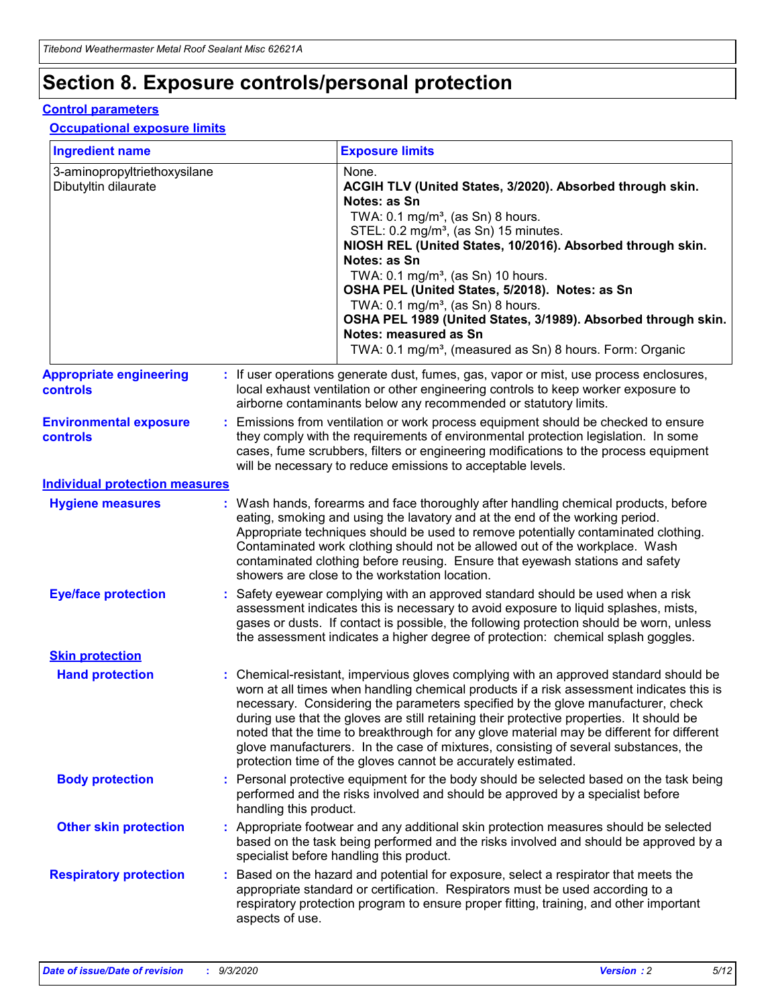## **Section 8. Exposure controls/personal protection**

#### **Control parameters**

#### **Occupational exposure limits**

| <b>Ingredient name</b>                               |    |                        | <b>Exposure limits</b>                                                                                                                                                                                                                                                                                                                                                                                                                                                                                                                                                                                                 |
|------------------------------------------------------|----|------------------------|------------------------------------------------------------------------------------------------------------------------------------------------------------------------------------------------------------------------------------------------------------------------------------------------------------------------------------------------------------------------------------------------------------------------------------------------------------------------------------------------------------------------------------------------------------------------------------------------------------------------|
| 3-aminopropyltriethoxysilane<br>Dibutyltin dilaurate |    |                        | None.<br>ACGIH TLV (United States, 3/2020). Absorbed through skin.<br>Notes: as Sn<br>TWA: $0.1 \text{ mg/m}^3$ , (as Sn) 8 hours.<br>STEL: 0.2 mg/m <sup>3</sup> , (as Sn) 15 minutes.<br>NIOSH REL (United States, 10/2016). Absorbed through skin.<br>Notes: as Sn<br>TWA: 0.1 mg/m <sup>3</sup> , (as Sn) 10 hours.<br>OSHA PEL (United States, 5/2018). Notes: as Sn<br>TWA: $0.1 \text{ mg/m}^3$ , (as Sn) 8 hours.<br>OSHA PEL 1989 (United States, 3/1989). Absorbed through skin.<br>Notes: measured as Sn<br>TWA: 0.1 mg/m <sup>3</sup> , (measured as Sn) 8 hours. Form: Organic                            |
| <b>Appropriate engineering</b><br>controls           |    |                        | : If user operations generate dust, fumes, gas, vapor or mist, use process enclosures,<br>local exhaust ventilation or other engineering controls to keep worker exposure to<br>airborne contaminants below any recommended or statutory limits.                                                                                                                                                                                                                                                                                                                                                                       |
| <b>Environmental exposure</b><br>controls            |    |                        | Emissions from ventilation or work process equipment should be checked to ensure<br>they comply with the requirements of environmental protection legislation. In some<br>cases, fume scrubbers, filters or engineering modifications to the process equipment<br>will be necessary to reduce emissions to acceptable levels.                                                                                                                                                                                                                                                                                          |
| <b>Individual protection measures</b>                |    |                        |                                                                                                                                                                                                                                                                                                                                                                                                                                                                                                                                                                                                                        |
| <b>Hygiene measures</b>                              |    |                        | : Wash hands, forearms and face thoroughly after handling chemical products, before<br>eating, smoking and using the lavatory and at the end of the working period.<br>Appropriate techniques should be used to remove potentially contaminated clothing.<br>Contaminated work clothing should not be allowed out of the workplace. Wash<br>contaminated clothing before reusing. Ensure that eyewash stations and safety<br>showers are close to the workstation location.                                                                                                                                            |
| <b>Eye/face protection</b>                           |    |                        | : Safety eyewear complying with an approved standard should be used when a risk<br>assessment indicates this is necessary to avoid exposure to liquid splashes, mists,<br>gases or dusts. If contact is possible, the following protection should be worn, unless<br>the assessment indicates a higher degree of protection: chemical splash goggles.                                                                                                                                                                                                                                                                  |
| <b>Skin protection</b>                               |    |                        |                                                                                                                                                                                                                                                                                                                                                                                                                                                                                                                                                                                                                        |
| <b>Hand protection</b>                               |    |                        | : Chemical-resistant, impervious gloves complying with an approved standard should be<br>worn at all times when handling chemical products if a risk assessment indicates this is<br>necessary. Considering the parameters specified by the glove manufacturer, check<br>during use that the gloves are still retaining their protective properties. It should be<br>noted that the time to breakthrough for any glove material may be different for different<br>glove manufacturers. In the case of mixtures, consisting of several substances, the<br>protection time of the gloves cannot be accurately estimated. |
| <b>Body protection</b>                               |    | handling this product. | Personal protective equipment for the body should be selected based on the task being<br>performed and the risks involved and should be approved by a specialist before                                                                                                                                                                                                                                                                                                                                                                                                                                                |
| <b>Other skin protection</b>                         |    |                        | : Appropriate footwear and any additional skin protection measures should be selected<br>based on the task being performed and the risks involved and should be approved by a<br>specialist before handling this product.                                                                                                                                                                                                                                                                                                                                                                                              |
| <b>Respiratory protection</b>                        | ÷. | aspects of use.        | Based on the hazard and potential for exposure, select a respirator that meets the<br>appropriate standard or certification. Respirators must be used according to a<br>respiratory protection program to ensure proper fitting, training, and other important                                                                                                                                                                                                                                                                                                                                                         |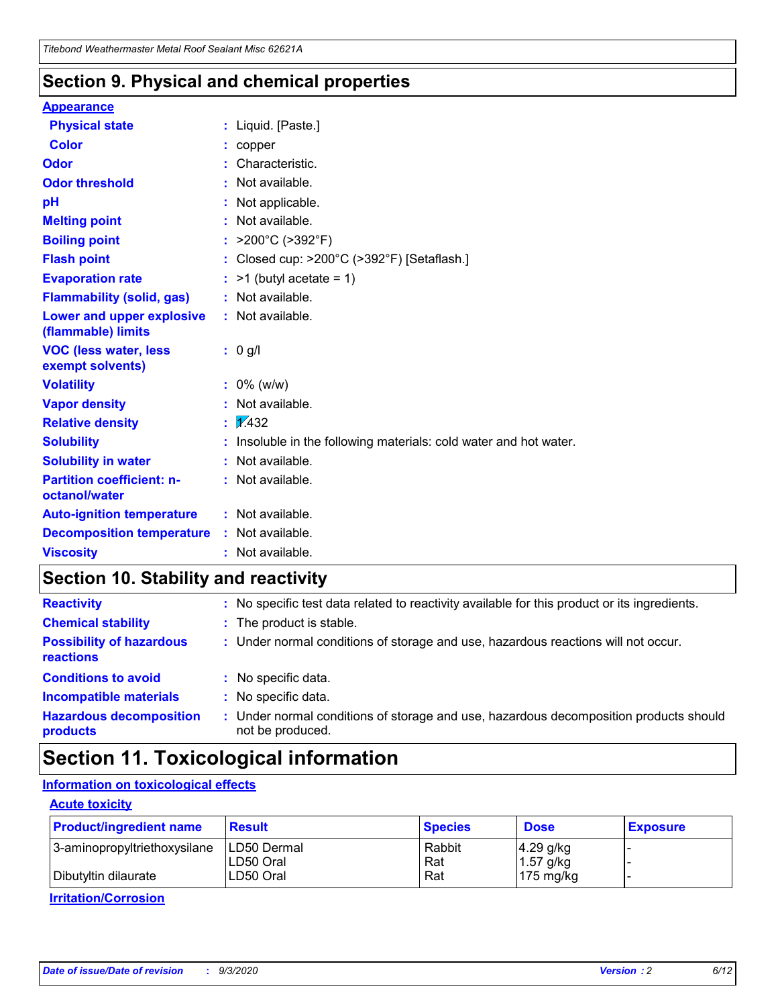### **Section 9. Physical and chemical properties**

#### **Appearance**

| <b>Physical state</b>                             | : Liquid. [Paste.]                                              |
|---------------------------------------------------|-----------------------------------------------------------------|
| <b>Color</b>                                      | copper                                                          |
| Odor                                              | Characteristic.                                                 |
| <b>Odor threshold</b>                             | Not available.                                                  |
| рH                                                | Not applicable.                                                 |
| <b>Melting point</b>                              | : Not available.                                                |
| <b>Boiling point</b>                              | >200°C (>392°F)                                                 |
| <b>Flash point</b>                                | Closed cup: >200°C (>392°F) [Setaflash.]                        |
| <b>Evaporation rate</b>                           | $:$ >1 (butyl acetate = 1)                                      |
| <b>Flammability (solid, gas)</b>                  | : Not available.                                                |
| Lower and upper explosive<br>(flammable) limits   | : Not available.                                                |
| <b>VOC (less water, less)</b><br>exempt solvents) | : 0 g/l                                                         |
| <b>Volatility</b>                                 | $: 0\%$ (w/w)                                                   |
| <b>Vapor density</b>                              | Not available.                                                  |
| <b>Relative density</b>                           | $\mathbf{1}$ $\mathbf{\sqrt{432}}$                              |
| <b>Solubility</b>                                 | Insoluble in the following materials: cold water and hot water. |
| <b>Solubility in water</b>                        | Not available.                                                  |
| <b>Partition coefficient: n-</b><br>octanol/water | $:$ Not available.                                              |
| <b>Auto-ignition temperature</b>                  | : Not available.                                                |
| <b>Decomposition temperature</b>                  | : Not available.                                                |
| <b>Viscosity</b>                                  | $:$ Not available.                                              |

### **Section 10. Stability and reactivity**

| <b>Reactivity</b>                            |    | : No specific test data related to reactivity available for this product or its ingredients.            |
|----------------------------------------------|----|---------------------------------------------------------------------------------------------------------|
| <b>Chemical stability</b>                    |    | : The product is stable.                                                                                |
| <b>Possibility of hazardous</b><br>reactions |    | : Under normal conditions of storage and use, hazardous reactions will not occur.                       |
| <b>Conditions to avoid</b>                   |    | : No specific data.                                                                                     |
| <b>Incompatible materials</b>                |    | : No specific data.                                                                                     |
| <b>Hazardous decomposition</b><br>products   | ÷. | Under normal conditions of storage and use, hazardous decomposition products should<br>not be produced. |

## **Section 11. Toxicological information**

#### **Information on toxicological effects**

#### **Acute toxicity**

| <b>Product/ingredient name</b> | <b>Result</b>           | <b>Species</b> | <b>Dose</b>                | <b>Exposure</b> |
|--------------------------------|-------------------------|----------------|----------------------------|-----------------|
| 3-aminopropyltriethoxysilane   | <b>ILD50 Dermal</b>     | Rabbit         | 4.29 g/kg                  |                 |
| Dibutyltin dilaurate           | ILD50 Oral<br>LD50 Oral | Rat<br>Rat     | $1.57$ g/kg<br>175 $mg/kg$ |                 |
|                                |                         |                |                            |                 |

**Irritation/Corrosion**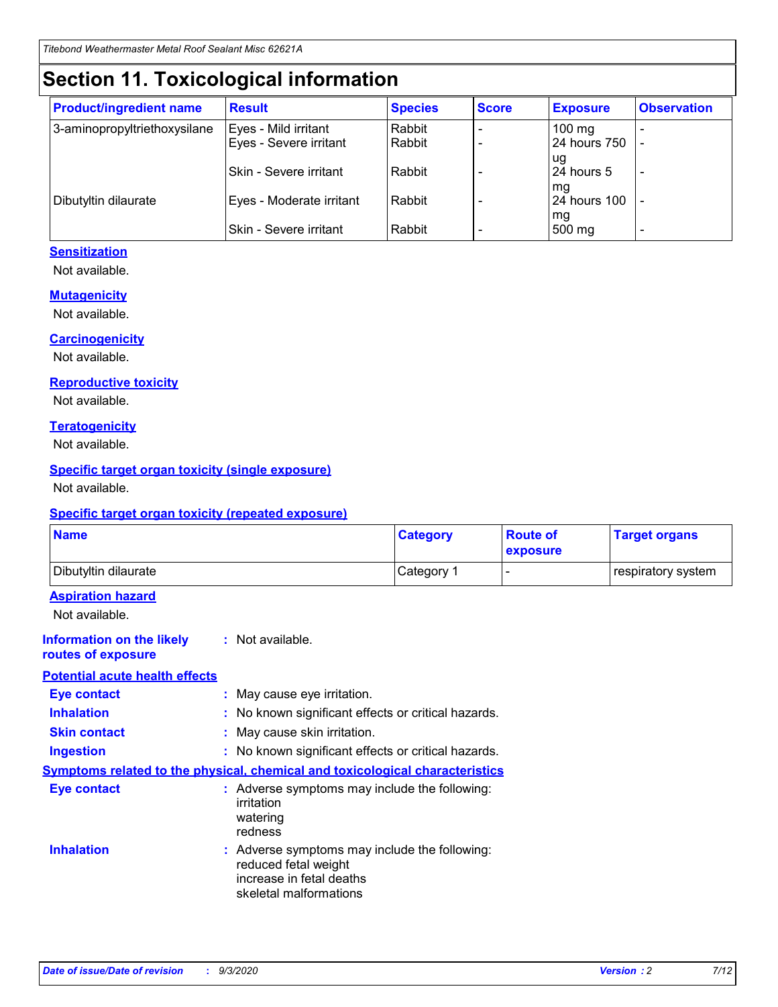## **Section 11. Toxicological information**

| <b>Product/ingredient name</b> | <b>Result</b>                 | <b>Species</b> | <b>Score</b> | <b>Exposure</b>    | <b>Observation</b> |
|--------------------------------|-------------------------------|----------------|--------------|--------------------|--------------------|
| 3-aminopropyltriethoxysilane   | Eyes - Mild irritant          | Rabbit         |              | $100 \text{ mg}$   |                    |
|                                | Eyes - Severe irritant        | Rabbit         |              | 24 hours 750       |                    |
|                                |                               |                |              | ug                 |                    |
|                                | <b>Skin - Severe irritant</b> | Rabbit         |              | 24 hours 5         | -                  |
| Dibutyltin dilaurate           | Eyes - Moderate irritant      | Rabbit         |              | mq<br>24 hours 100 |                    |
|                                |                               |                |              | mg                 |                    |
|                                | Skin - Severe irritant        | Rabbit         |              | 500 mg             |                    |

#### **Sensitization**

Not available.

#### **Mutagenicity**

Not available.

#### **Carcinogenicity**

Not available.

#### **Reproductive toxicity**

Not available.

#### **Teratogenicity**

Not available.

#### **Specific target organ toxicity (single exposure)**

Not available.

#### **Specific target organ toxicity (repeated exposure)**

| <b>Name</b>                                                                         |                                                                            | <b>Category</b>                                     | <b>Route of</b><br>exposure | <b>Target organs</b> |  |  |
|-------------------------------------------------------------------------------------|----------------------------------------------------------------------------|-----------------------------------------------------|-----------------------------|----------------------|--|--|
| Dibutyltin dilaurate                                                                |                                                                            | Category 1                                          |                             | respiratory system   |  |  |
| <b>Aspiration hazard</b><br>Not available.                                          |                                                                            |                                                     |                             |                      |  |  |
| <b>Information on the likely</b><br>routes of exposure                              | : Not available.                                                           |                                                     |                             |                      |  |  |
| <b>Potential acute health effects</b>                                               |                                                                            |                                                     |                             |                      |  |  |
| <b>Eye contact</b>                                                                  | : May cause eye irritation.                                                |                                                     |                             |                      |  |  |
| <b>Inhalation</b>                                                                   |                                                                            | : No known significant effects or critical hazards. |                             |                      |  |  |
| <b>Skin contact</b>                                                                 |                                                                            | : May cause skin irritation.                        |                             |                      |  |  |
| <b>Ingestion</b>                                                                    |                                                                            | : No known significant effects or critical hazards. |                             |                      |  |  |
| <b>Symptoms related to the physical, chemical and toxicological characteristics</b> |                                                                            |                                                     |                             |                      |  |  |
| <b>Eye contact</b>                                                                  | irritation<br>watering<br>redness                                          | : Adverse symptoms may include the following:       |                             |                      |  |  |
| <b>Inhalation</b>                                                                   | reduced fetal weight<br>increase in fetal deaths<br>skeletal malformations | : Adverse symptoms may include the following:       |                             |                      |  |  |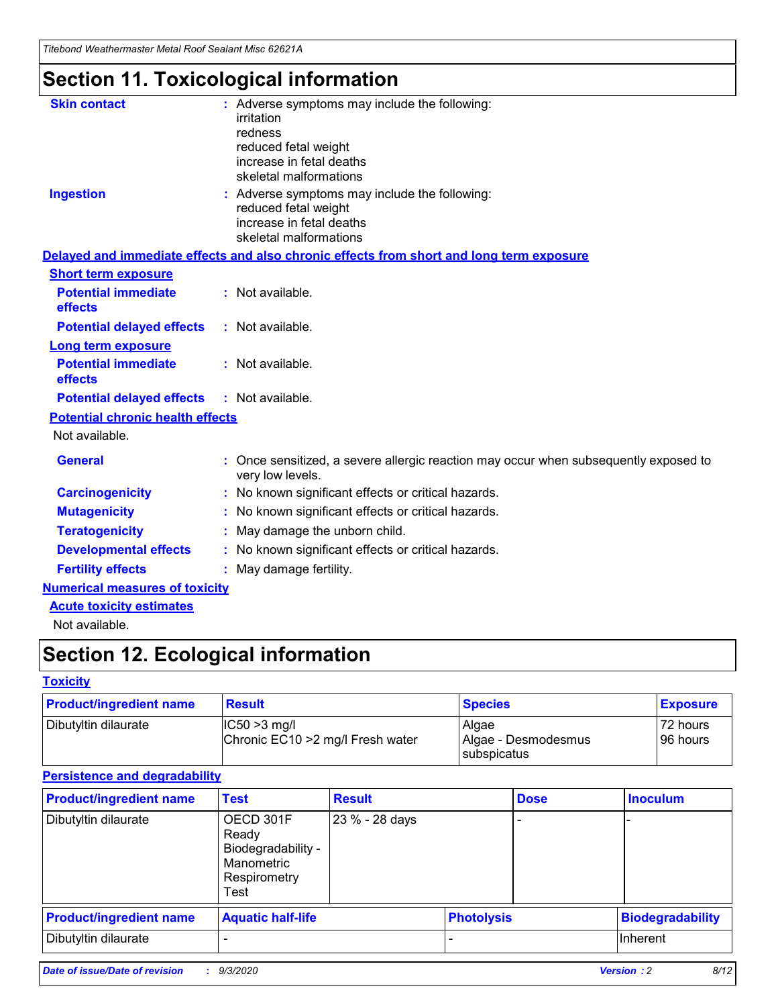*Titebond Weathermaster Metal Roof Sealant Misc 62621A*

## **Section 11. Toxicological information**

| <b>Skin contact</b>                     | irritation<br>redness<br>reduced fetal weight<br>increase in fetal deaths<br>skeletal malformations | : Adverse symptoms may include the following:                                            |
|-----------------------------------------|-----------------------------------------------------------------------------------------------------|------------------------------------------------------------------------------------------|
| <b>Ingestion</b>                        | reduced fetal weight<br>increase in fetal deaths<br>skeletal malformations                          | : Adverse symptoms may include the following:                                            |
|                                         |                                                                                                     | Delayed and immediate effects and also chronic effects from short and long term exposure |
| <b>Short term exposure</b>              |                                                                                                     |                                                                                          |
| <b>Potential immediate</b><br>effects   | : Not available.                                                                                    |                                                                                          |
| <b>Potential delayed effects</b>        | : Not available.                                                                                    |                                                                                          |
| <b>Long term exposure</b>               |                                                                                                     |                                                                                          |
| <b>Potential immediate</b><br>effects   | : Not available.                                                                                    |                                                                                          |
| <b>Potential delayed effects</b>        | : Not available.                                                                                    |                                                                                          |
| <b>Potential chronic health effects</b> |                                                                                                     |                                                                                          |
| Not available.                          |                                                                                                     |                                                                                          |
| <b>General</b>                          | very low levels.                                                                                    | : Once sensitized, a severe allergic reaction may occur when subsequently exposed to     |
| <b>Carcinogenicity</b>                  |                                                                                                     | : No known significant effects or critical hazards.                                      |
| <b>Mutagenicity</b>                     |                                                                                                     | No known significant effects or critical hazards.                                        |
| <b>Teratogenicity</b>                   |                                                                                                     | May damage the unborn child.                                                             |
| <b>Developmental effects</b>            |                                                                                                     | : No known significant effects or critical hazards.                                      |
| <b>Fertility effects</b>                | May damage fertility.                                                                               |                                                                                          |
| <b>Numerical measures of toxicity</b>   |                                                                                                     |                                                                                          |
| <b>Acute toxicity estimates</b>         |                                                                                                     |                                                                                          |
| Not available.                          |                                                                                                     |                                                                                          |

## **Section 12. Ecological information**

#### **Toxicity**

| <b>Product/ingredient name</b> | <b>Result</b>                                       | <b>Species</b>               | <b>Exposure</b>       |
|--------------------------------|-----------------------------------------------------|------------------------------|-----------------------|
| Dibutyltin dilaurate           | $ IC50>3$ mg/l<br>Chronic EC10 > 2 mg/l Fresh water | Algae<br>Algae - Desmodesmus | 72 hours<br>196 hours |
|                                |                                                     | subspicatus                  |                       |

#### **Persistence and degradability**

| <b>Product/ingredient name</b> | <b>Test</b>                                                                    | <b>Result</b>  |                   | <b>Dose</b> | <b>Inoculum</b>         |
|--------------------------------|--------------------------------------------------------------------------------|----------------|-------------------|-------------|-------------------------|
| Dibutyltin dilaurate           | OECD 301F<br>Ready<br>Biodegradability -<br>Manometric<br>Respirometry<br>Test | 23 % - 28 days |                   |             |                         |
| <b>Product/ingredient name</b> | <b>Aquatic half-life</b>                                                       |                | <b>Photolysis</b> |             | <b>Biodegradability</b> |
| Dibutyltin dilaurate           |                                                                                |                |                   |             | <b>Inherent</b>         |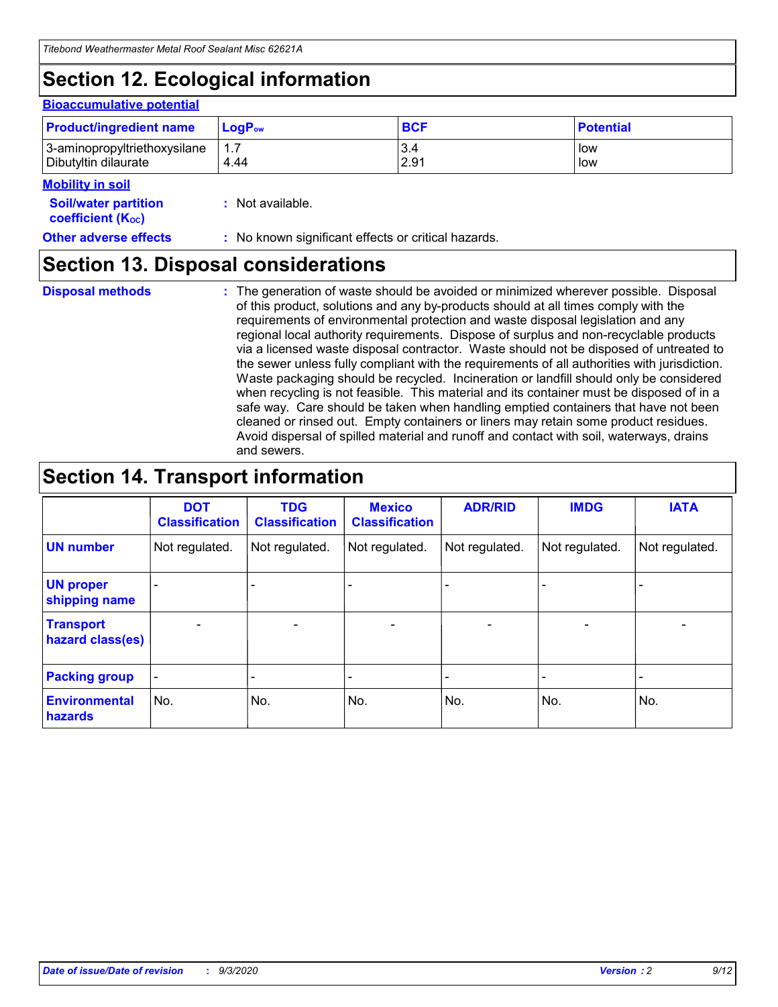## **Section 12. Ecological information**

#### **Bioaccumulative potential**

| <b>Product/ingredient name</b> | $LoaPow$ | <b>BCF</b> | <b>Potential</b> |
|--------------------------------|----------|------------|------------------|
| 3-aminopropyltriethoxysilane   | 1.7      | 3.4        | low              |
| Dibutyltin dilaurate           | 4.44     | 2.91       | low              |

#### **Mobility in soil**

| <b>Soil/water partition</b>           | : Not available. |  |
|---------------------------------------|------------------|--|
| <b>coefficient</b> (K <sub>oc</sub> ) |                  |  |

#### **Other adverse effects** : No known significant effects or critical hazards.

### **Section 13. Disposal considerations**

**Disposal methods :**

The generation of waste should be avoided or minimized wherever possible. Disposal of this product, solutions and any by-products should at all times comply with the requirements of environmental protection and waste disposal legislation and any regional local authority requirements. Dispose of surplus and non-recyclable products via a licensed waste disposal contractor. Waste should not be disposed of untreated to the sewer unless fully compliant with the requirements of all authorities with jurisdiction. Waste packaging should be recycled. Incineration or landfill should only be considered when recycling is not feasible. This material and its container must be disposed of in a safe way. Care should be taken when handling emptied containers that have not been cleaned or rinsed out. Empty containers or liners may retain some product residues. Avoid dispersal of spilled material and runoff and contact with soil, waterways, drains and sewers.

## **Section 14. Transport information**

|                                      | <b>DOT</b><br><b>Classification</b> | <b>TDG</b><br><b>Classification</b> | <b>Mexico</b><br><b>Classification</b> | <b>ADR/RID</b>           | <b>IMDG</b>              | <b>IATA</b>    |
|--------------------------------------|-------------------------------------|-------------------------------------|----------------------------------------|--------------------------|--------------------------|----------------|
| <b>UN number</b>                     | Not regulated.                      | Not regulated.                      | Not regulated.                         | Not regulated.           | Not regulated.           | Not regulated. |
| <b>UN proper</b><br>shipping name    |                                     |                                     |                                        |                          |                          |                |
| <b>Transport</b><br>hazard class(es) |                                     | $\overline{\phantom{0}}$            | $\qquad \qquad \blacksquare$           | $\overline{\phantom{0}}$ | $\overline{\phantom{0}}$ |                |
| <b>Packing group</b>                 |                                     |                                     |                                        |                          |                          |                |
| <b>Environmental</b><br>hazards      | No.                                 | No.                                 | No.                                    | No.                      | No.                      | No.            |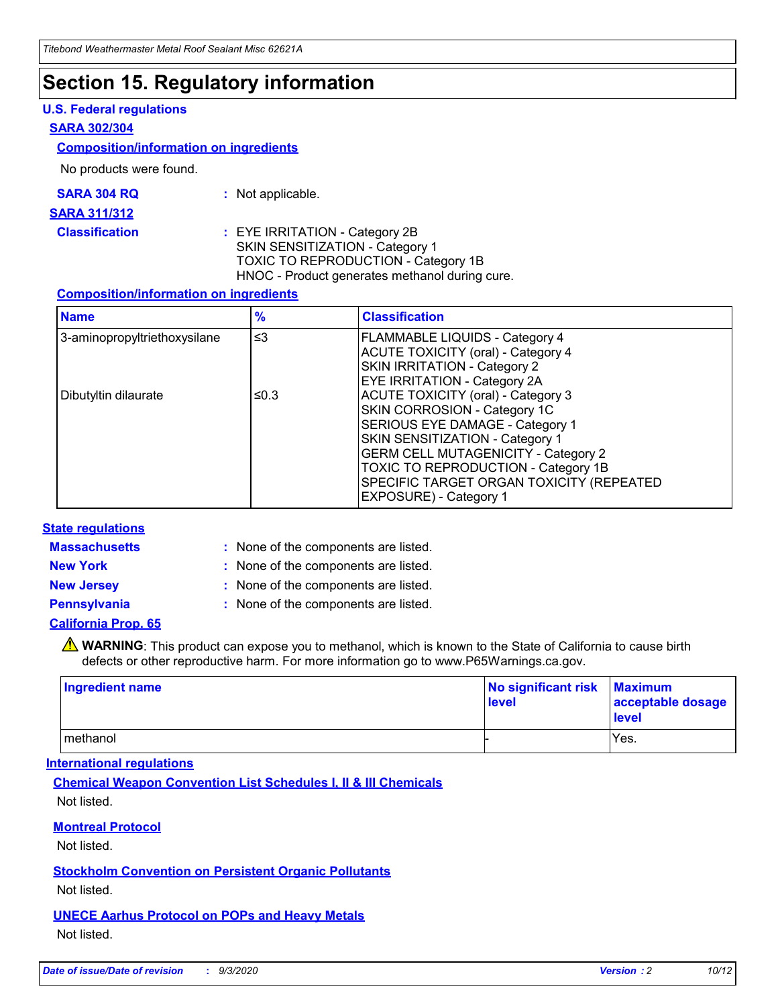### **Section 15. Regulatory information**

#### **U.S. Federal regulations**

#### **SARA 302/304**

#### **Composition/information on ingredients**

No products were found.

| SARA 304 RQ | Not applicable. |
|-------------|-----------------|
|-------------|-----------------|

#### **SARA 311/312**

**Classification :** EYE IRRITATION - Category 2B SKIN SENSITIZATION - Category 1 TOXIC TO REPRODUCTION - Category 1B HNOC - Product generates methanol during cure.

#### **Composition/information on ingredients**

| <b>Name</b>                  | $\frac{9}{6}$ | <b>Classification</b>                                                                                                                                                                                                                                                                                      |
|------------------------------|---------------|------------------------------------------------------------------------------------------------------------------------------------------------------------------------------------------------------------------------------------------------------------------------------------------------------------|
| 3-aminopropyltriethoxysilane | $\leq$ 3      | <b>FLAMMABLE LIQUIDS - Category 4</b><br><b>ACUTE TOXICITY (oral) - Category 4</b><br><b>SKIN IRRITATION - Category 2</b><br>EYE IRRITATION - Category 2A                                                                                                                                                  |
| Dibutyltin dilaurate         | ≤0.3          | <b>ACUTE TOXICITY (oral) - Category 3</b><br>SKIN CORROSION - Category 1C<br>SERIOUS EYE DAMAGE - Category 1<br>SKIN SENSITIZATION - Category 1<br><b>GERM CELL MUTAGENICITY - Category 2</b><br>TOXIC TO REPRODUCTION - Category 1B<br>SPECIFIC TARGET ORGAN TOXICITY (REPEATED<br>EXPOSURE) - Category 1 |

#### **State regulations**

**Massachusetts :**

: None of the components are listed.

**New York :** None of the components are listed.

**New Jersey :** None of the components are listed.

**Pennsylvania :** None of the components are listed.

#### **California Prop. 65**

WARNING: This product can expose you to methanol, which is known to the State of California to cause birth defects or other reproductive harm. For more information go to www.P65Warnings.ca.gov.

| Ingredient name | No significant risk<br>level | <b>Maximum</b><br>acceptable dosage<br><b>level</b> |
|-----------------|------------------------------|-----------------------------------------------------|
| l methanol      |                              | Yes.                                                |

#### **International regulations**

**Chemical Weapon Convention List Schedules I, II & III Chemicals** Not listed.

#### **Montreal Protocol**

Not listed.

**Stockholm Convention on Persistent Organic Pollutants**

Not listed.

#### **UNECE Aarhus Protocol on POPs and Heavy Metals** Not listed.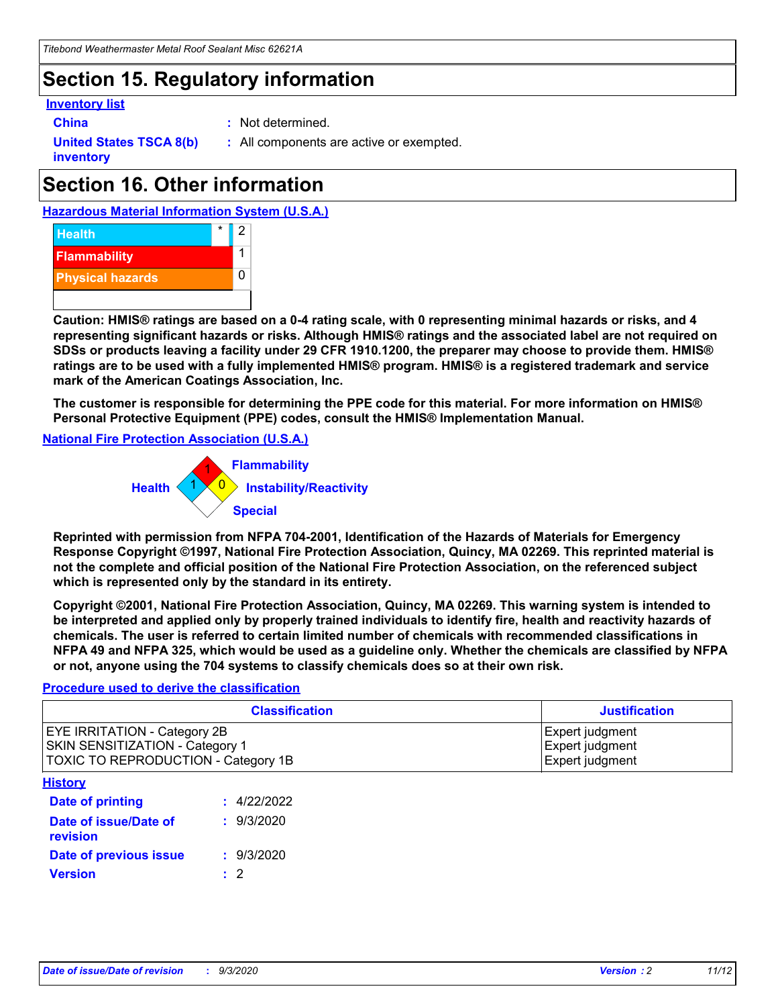## **Section 15. Regulatory information**

#### **Inventory list**

- 
- **China :** Not determined.

**United States TSCA 8(b) inventory**

**:** All components are active or exempted.

## **Section 16. Other information**





**Caution: HMIS® ratings are based on a 0-4 rating scale, with 0 representing minimal hazards or risks, and 4 representing significant hazards or risks. Although HMIS® ratings and the associated label are not required on SDSs or products leaving a facility under 29 CFR 1910.1200, the preparer may choose to provide them. HMIS® ratings are to be used with a fully implemented HMIS® program. HMIS® is a registered trademark and service mark of the American Coatings Association, Inc.**

**The customer is responsible for determining the PPE code for this material. For more information on HMIS® Personal Protective Equipment (PPE) codes, consult the HMIS® Implementation Manual.**

**National Fire Protection Association (U.S.A.)**



**Reprinted with permission from NFPA 704-2001, Identification of the Hazards of Materials for Emergency Response Copyright ©1997, National Fire Protection Association, Quincy, MA 02269. This reprinted material is not the complete and official position of the National Fire Protection Association, on the referenced subject which is represented only by the standard in its entirety.**

**Copyright ©2001, National Fire Protection Association, Quincy, MA 02269. This warning system is intended to be interpreted and applied only by properly trained individuals to identify fire, health and reactivity hazards of chemicals. The user is referred to certain limited number of chemicals with recommended classifications in NFPA 49 and NFPA 325, which would be used as a guideline only. Whether the chemicals are classified by NFPA or not, anyone using the 704 systems to classify chemicals does so at their own risk.**

#### **Procedure used to derive the classification**

| <b>Classification</b>                                                                                         | <b>Justification</b>                                  |
|---------------------------------------------------------------------------------------------------------------|-------------------------------------------------------|
| <b>EYE IRRITATION - Category 2B</b><br>SKIN SENSITIZATION - Category 1<br>TOXIC TO REPRODUCTION - Category 1B | Expert judgment<br>Expert judgment<br>Expert judgment |
| <b>History</b>                                                                                                |                                                       |

| .                                 |             |
|-----------------------------------|-------------|
| <b>Date of printing</b>           | : 4/22/2022 |
| Date of issue/Date of<br>revision | : 9/3/2020  |
| Date of previous issue            | : 9/3/2020  |
| <b>Version</b>                    | $\cdot$ 2   |
|                                   |             |